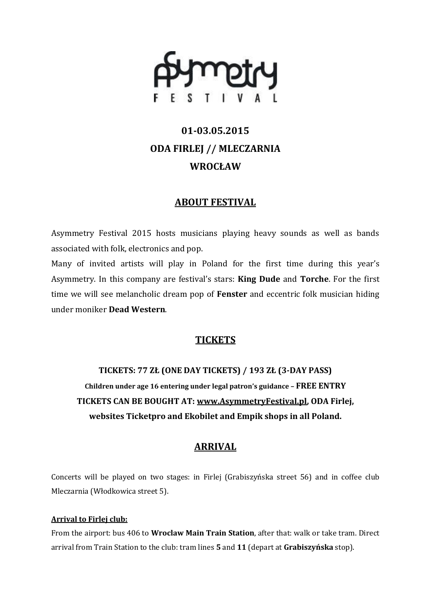

# **01-03.05.2015 ODA FIRLEJ // MLECZARNIA WROCŁAW**

## **ABOUT FESTIVAL**

Asymmetry Festival 2015 hosts musicians playing heavy sounds as well as bands associated with folk, electronics and pop.

Many of invited artists will play in Poland for the first time during this year's Asymmetry. In this company are festival's stars: **King Dude** and **Torche**. For the first time we will see melancholic dream pop of **Fenster** and eccentric folk musician hiding under moniker **Dead Western**.

## **TICKETS**

**TICKETS: 77 ZŁ (ONE DAY TICKETS) / 193 ZŁ (3-DAY PASS) Children under age 16 entering under legal patron's guidance – FREE ENTRY TICKETS CAN BE BOUGHT AT: [www.AsymmetryFestival.pl,](http://www.asymmetryfestival.pl/) ODA Firlej, websites Ticketpro and Ekobilet and Empik shops in all Poland.**

## **ARRIVAL**

Concerts will be played on two stages: in Firlej (Grabiszyńska street 56) and in coffee club Mleczarnia (Włodkowica street 5).

### **Arrival to Firlej club:**

From the airport: bus 406 to **Wroclaw Main Train Station**, after that: walk or take tram. Direct arrival from Train Station to the club: tram lines **5** and **11** (depart at **Grabiszyńska** stop).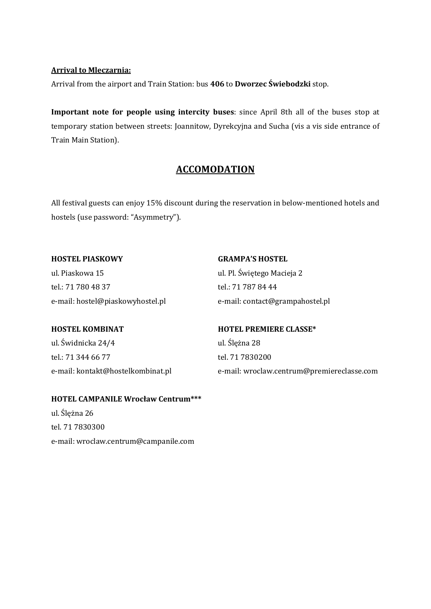#### **Arrival to Mleczarnia:**

Arrival from the airport and Train Station: bus **406** to **Dworzec Świebodzki** stop.

**Important note for people using intercity buses**: since April 8th all of the buses stop at temporary station between streets: Joannitow, Dyrekcyjna and Sucha (vis a vis side entrance of Train Main Station).

## **ACCOMODATION**

All festival guests can enjoy 15% discount during the reservation in below-mentioned hotels and hostels (use password: "Asymmetry").

**HOSTEL PIASKOWY** ul. Piaskowa 15 tel.: 71 780 48 37 e-mail: hostel@piaskowyhostel.pl **GRAMPA'S HOSTEL** ul. Pl. Świętego Macieja 2 tel.: 71 787 84 44

e-mail: contact@grampahostel.pl

### **HOSTEL KOMBINAT**

ul. Świdnicka 24/4 tel.: 71 344 66 77 e-mail: kontakt@hostelkombinat.pl

## **HOTEL PREMIERE CLASSE\*** ul. Ślężna 28 tel. 71 7830200 e-mail: wroclaw.centrum@premiereclasse.com

#### **HOTEL CAMPANILE Wrocław Centrum\*\*\***

ul. Ślężna 26 tel. 71 7830300 e-mail: wroclaw.centrum@campanile.com